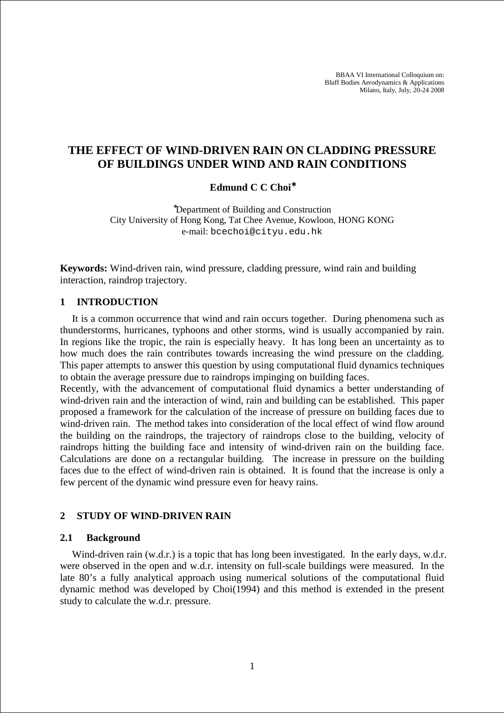BBAA VI International Colloquium on: Bluff Bodies Aerodynamics & Applications Milano, Italy, July, 20-24 2008

# **THE EFFECT OF WIND-DRIVEN RAIN ON CLADDING PRESSURE OF BUILDINGS UNDER WIND AND RAIN CONDITIONS**

#### **Edmund C C Choi**<sup>∗</sup>

<sup>∗</sup>Department of Building and Construction City University of Hong Kong, Tat Chee Avenue, Kowloon, HONG KONG e-mail: bcechoi@cityu.edu.hk

**Keywords:** Wind-driven rain, wind pressure, cladding pressure, wind rain and building interaction, raindrop trajectory.

#### **1 INTRODUCTION**

It is a common occurrence that wind and rain occurs together. During phenomena such as thunderstorms, hurricanes, typhoons and other storms, wind is usually accompanied by rain. In regions like the tropic, the rain is especially heavy. It has long been an uncertainty as to how much does the rain contributes towards increasing the wind pressure on the cladding. This paper attempts to answer this question by using computational fluid dynamics techniques to obtain the average pressure due to raindrops impinging on building faces.

Recently, with the advancement of computational fluid dynamics a better understanding of wind-driven rain and the interaction of wind, rain and building can be established. This paper proposed a framework for the calculation of the increase of pressure on building faces due to wind-driven rain. The method takes into consideration of the local effect of wind flow around the building on the raindrops, the trajectory of raindrops close to the building, velocity of raindrops hitting the building face and intensity of wind-driven rain on the building face. Calculations are done on a rectangular building. The increase in pressure on the building faces due to the effect of wind-driven rain is obtained. It is found that the increase is only a few percent of the dynamic wind pressure even for heavy rains.

### **2 STUDY OF WIND-DRIVEN RAIN**

#### **2.1 Background**

Wind-driven rain (w.d.r.) is a topic that has long been investigated. In the early days, w.d.r. were observed in the open and w.d.r. intensity on full-scale buildings were measured. In the late 80's a fully analytical approach using numerical solutions of the computational fluid dynamic method was developed by Choi(1994) and this method is extended in the present study to calculate the w.d.r. pressure.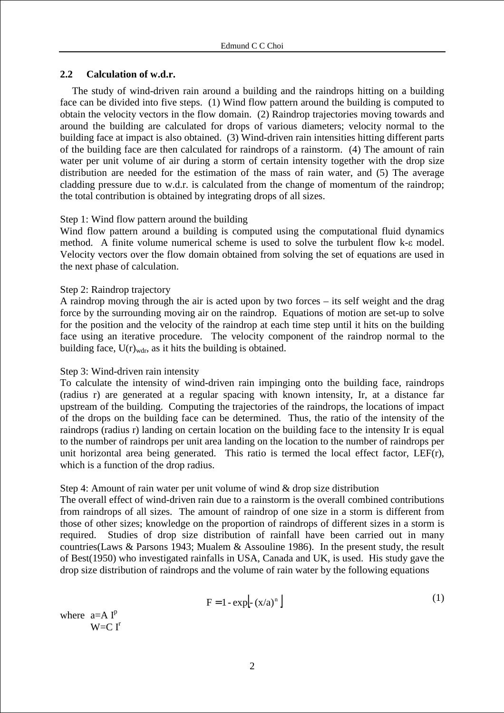## **2.2 Calculation of w.d.r.**

The study of wind-driven rain around a building and the raindrops hitting on a building face can be divided into five steps. (1) Wind flow pattern around the building is computed to obtain the velocity vectors in the flow domain. (2) Raindrop trajectories moving towards and around the building are calculated for drops of various diameters; velocity normal to the building face at impact is also obtained. (3) Wind-driven rain intensities hitting different parts of the building face are then calculated for raindrops of a rainstorm. (4) The amount of rain water per unit volume of air during a storm of certain intensity together with the drop size distribution are needed for the estimation of the mass of rain water, and (5) The average cladding pressure due to w.d.r. is calculated from the change of momentum of the raindrop; the total contribution is obtained by integrating drops of all sizes.

## Step 1: Wind flow pattern around the building

Wind flow pattern around a building is computed using the computational fluid dynamics method. A finite volume numerical scheme is used to solve the turbulent flow k-ε model. Velocity vectors over the flow domain obtained from solving the set of equations are used in the next phase of calculation.

## Step 2: Raindrop trajectory

A raindrop moving through the air is acted upon by two forces – its self weight and the drag force by the surrounding moving air on the raindrop. Equations of motion are set-up to solve for the position and the velocity of the raindrop at each time step until it hits on the building face using an iterative procedure. The velocity component of the raindrop normal to the building face,  $U(r)_{\text{wdr}}$ , as it hits the building is obtained.

# Step 3: Wind-driven rain intensity

To calculate the intensity of wind-driven rain impinging onto the building face, raindrops (radius r) are generated at a regular spacing with known intensity, Ir, at a distance far upstream of the building. Computing the trajectories of the raindrops, the locations of impact of the drops on the building face can be determined. Thus, the ratio of the intensity of the raindrops (radius r) landing on certain location on the building face to the intensity Ir is equal to the number of raindrops per unit area landing on the location to the number of raindrops per unit horizontal area being generated. This ratio is termed the local effect factor, LEF(r), which is a function of the drop radius.

# Step 4: Amount of rain water per unit volume of wind & drop size distribution

The overall effect of wind-driven rain due to a rainstorm is the overall combined contributions from raindrops of all sizes. The amount of raindrop of one size in a storm is different from those of other sizes; knowledge on the proportion of raindrops of different sizes in a storm is required. Studies of drop size distribution of rainfall have been carried out in many countries(Laws & Parsons 1943; Mualem & Assouline 1986). In the present study, the result of Best(1950) who investigated rainfalls in USA, Canada and UK, is used. His study gave the drop size distribution of raindrops and the volume of rain water by the following equations

$$
F = 1 - exp[- (x/a)n]
$$
 (1)

where  $a= A I^{p}$  $W = C I^r$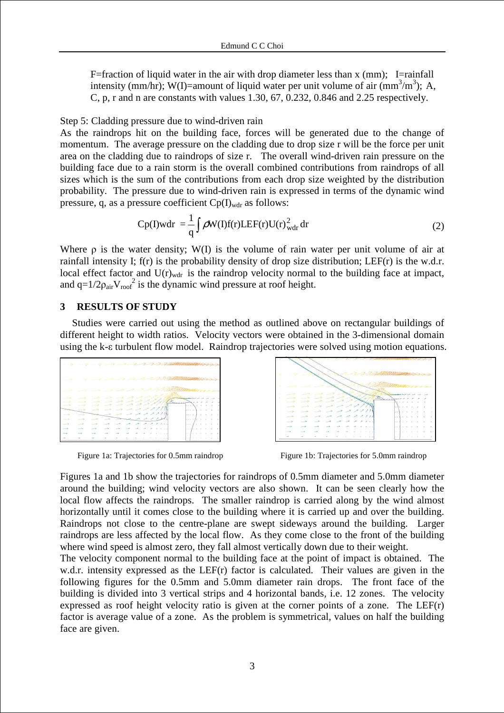F=fraction of liquid water in the air with drop diameter less than  $x$  (mm); I=rainfall intensity (mm/hr); W(I)=amount of liquid water per unit volume of air (mm<sup>3</sup>/m<sup>3</sup>); A, C, p, r and n are constants with values 1.30, 67, 0.232, 0.846 and 2.25 respectively.

Step 5: Cladding pressure due to wind-driven rain

As the raindrops hit on the building face, forces will be generated due to the change of momentum. The average pressure on the cladding due to drop size r will be the force per unit area on the cladding due to raindrops of size r. The overall wind-driven rain pressure on the building face due to a rain storm is the overall combined contributions from raindrops of all sizes which is the sum of the contributions from each drop size weighted by the distribution probability. The pressure due to wind-driven rain is expressed in terms of the dynamic wind pressure, q, as a pressure coefficient  $Cp(I)_{wdr}$  as follows:

$$
Cp(I)wdr = \frac{1}{q} \int \rho W(I)f(r)LEF(r)U(r)_{wdr}^2 dr \tag{2}
$$

Where  $\rho$  is the water density; W(I) is the volume of rain water per unit volume of air at rainfall intensity I; f(r) is the probability density of drop size distribution; LEF(r) is the w.d.r. local effect factor and  $U(r)_{wdr}$  is the raindrop velocity normal to the building face at impact, and  $q=1/2\rho_{air}V_{roof}^2$  is the dynamic wind pressure at roof height.

#### **3 RESULTS OF STUDY**

Studies were carried out using the method as outlined above on rectangular buildings of different height to width ratios. Velocity vectors were obtained in the 3-dimensional domain using the k-ε turbulent flow model. Raindrop trajectories were solved using motion equations.





Figure 1a: Trajectories for 0.5mm raindrop Figure 1b: Trajectories for 5.0mm raindrop

Figures 1a and 1b show the trajectories for raindrops of 0.5mm diameter and 5.0mm diameter around the building; wind velocity vectors are also shown. It can be seen clearly how the local flow affects the raindrops. The smaller raindrop is carried along by the wind almost horizontally until it comes close to the building where it is carried up and over the building. Raindrops not close to the centre-plane are swept sideways around the building. Larger raindrops are less affected by the local flow. As they come close to the front of the building where wind speed is almost zero, they fall almost vertically down due to their weight.

The velocity component normal to the building face at the point of impact is obtained. The w.d.r. intensity expressed as the LEF(r) factor is calculated. Their values are given in the following figures for the 0.5mm and 5.0mm diameter rain drops. The front face of the building is divided into 3 vertical strips and 4 horizontal bands, i.e. 12 zones. The velocity expressed as roof height velocity ratio is given at the corner points of a zone. The LEF(r) factor is average value of a zone. As the problem is symmetrical, values on half the building face are given.